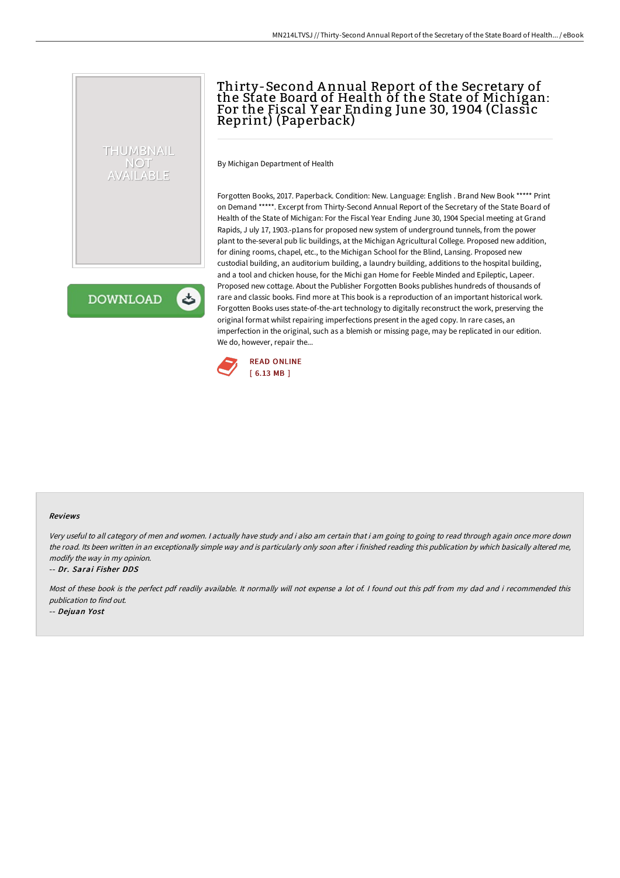# Thirty-Second A nnual Report of the Secretary of the State Board of Health of the State of Michigan: For the Fiscal Y ear Ending June 30, 1904 (Classic Reprint) (Paperback)

By Michigan Department of Health

Forgotten Books, 2017. Paperback. Condition: New. Language: English . Brand New Book \*\*\*\*\* Print on Demand \*\*\*\*\*. Excerpt from Thirty-Second Annual Report of the Secretary of the State Board of Health of the State of Michigan: For the Fiscal Year Ending June 30, 1904 Special meeting at Grand Rapids, J uly 17, 1903.-p1ans for proposed new system of underground tunnels, from the power plant to the-several pub lic buildings, at the Michigan Agricultural College. Proposed new addition, for dining rooms, chapel, etc., to the Michigan School for the Blind, Lansing. Proposed new custodial building, an auditorium building, a laundry building, additions to the hospital building, and a tool and chicken house, for the Michi gan Home for Feeble Minded and Epileptic, Lapeer. Proposed new cottage. About the Publisher Forgotten Books publishes hundreds of thousands of rare and classic books. Find more at This book is a reproduction of an important historical work. Forgotten Books uses state-of-the-art technology to digitally reconstruct the work, preserving the original format whilst repairing imperfections present in the aged copy. In rare cases, an imperfection in the original, such as a blemish or missing page, may be replicated in our edition. We do, however, repair the...



#### Reviews

Very useful to all category of men and women. <sup>I</sup> actually have study and i also am certain that i am going to going to read through again once more down the road. Its been written in an exceptionally simple way and is particularly only soon after i finished reading this publication by which basically altered me, modify the way in my opinion.

### -- Dr. Sarai Fisher DDS

THUMBNAIL NOT AVAILABLE

**DOWNLOAD** 

ٹ

Most of these book is the perfect pdf readily available. It normally will not expense <sup>a</sup> lot of. I found out this pdf from my dad and i recommended this publication to find out.

-- Dejuan Yost